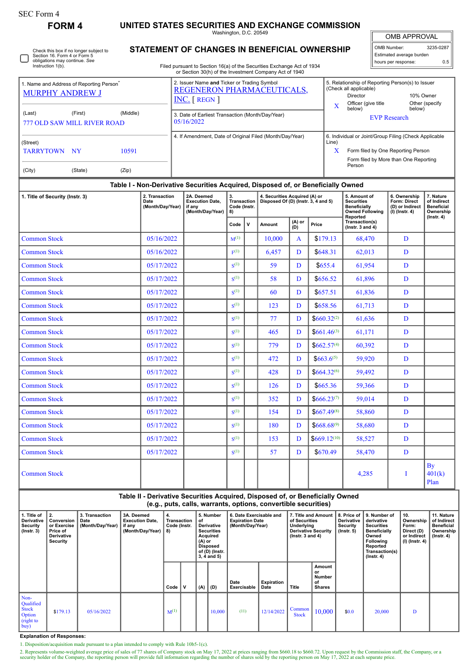## **FORM 4 UNITED STATES SECURITIES AND EXCHANGE COMMISSION**

Washington, D.C. 20549

| <b>OMB APPROVAL</b> |
|---------------------|
|---------------------|

5. Relationship of Reporting Person(s) to Issuer

| OMB Number:              | 3235-0287 |
|--------------------------|-----------|
| Estimated average burden |           |
| hours per response:      | 0.5       |

Check this box if no longer subject to Section 16. Form 4 or Form 5 П obligations may continue. *See* Instruction 1(b).

## **STATEMENT OF CHANGES IN BENEFICIAL OWNERSHIP**

Filed pursuant to Section 16(a) of the Securities Exchange Act of 1934 or Section 30(h) of the Investment Company Act of 1940

2. Issuer Name **and** Ticker or Trading Symbol

| 1. Name and Address of Reporting Person <sup>7</sup><br><b>MURPHY ANDREW J</b> | 2. Issuer Name and Ticker or Trading Symbol<br>REGENERON PHARMACEUTICALS,<br>$INC.$ [ REGN ] |                                                                                                                                                                                                                                    |                                                                                  |                                         |   |                                                                      |                 |                  | 5. Relationship of Reporting Person(s) to Issuer<br>(Check all applicable)<br><b>Director</b><br>10% Owner<br>Officer (give title<br>Other (specify)<br>X<br>below)<br>below) |                                                     |                                                                     |                                                            |
|--------------------------------------------------------------------------------|----------------------------------------------------------------------------------------------|------------------------------------------------------------------------------------------------------------------------------------------------------------------------------------------------------------------------------------|----------------------------------------------------------------------------------|-----------------------------------------|---|----------------------------------------------------------------------|-----------------|------------------|-------------------------------------------------------------------------------------------------------------------------------------------------------------------------------|-----------------------------------------------------|---------------------------------------------------------------------|------------------------------------------------------------|
| (Middle)<br>(Last)<br>(First)<br>777 OLD SAW MILL RIVER ROAD                   |                                                                                              | 3. Date of Earliest Transaction (Month/Day/Year)<br>05/16/2022                                                                                                                                                                     |                                                                                  |                                         |   |                                                                      |                 |                  | <b>EVP Research</b>                                                                                                                                                           |                                                     |                                                                     |                                                            |
| (Street)<br>10591<br>TARRYTOWN NY<br>(Zip)<br>(City)<br>(State)                |                                                                                              | 4. If Amendment, Date of Original Filed (Month/Day/Year)<br>6. Individual or Joint/Group Filing (Check Applicable<br>Line)<br>$\mathbf X$<br>Form filed by One Reporting Person<br>Form filed by More than One Reporting<br>Person |                                                                                  |                                         |   |                                                                      |                 |                  |                                                                                                                                                                               |                                                     |                                                                     |                                                            |
|                                                                                |                                                                                              |                                                                                                                                                                                                                                    | Table I - Non-Derivative Securities Acquired, Disposed of, or Beneficially Owned |                                         |   |                                                                      |                 |                  |                                                                                                                                                                               |                                                     |                                                                     |                                                            |
| 1. Title of Security (Instr. 3)                                                | 2. Transaction<br>Date<br>(Month/Day/Year)                                                   |                                                                                                                                                                                                                                    | 2A. Deemed<br><b>Execution Date,</b><br>if any<br>(Month/Day/Year)               | 3.<br>Transaction<br>Code (Instr.<br>8) |   | 4. Securities Acquired (A) or<br>Disposed Of (D) (Instr. 3, 4 and 5) |                 |                  | 5. Amount of<br><b>Securities</b><br><b>Beneficially</b><br><b>Owned Following</b>                                                                                            |                                                     | 6. Ownership<br>Form: Direct<br>(D) or Indirect<br>$(I)$ (lnstr. 4) | 7. Nature<br>of Indirect<br><b>Beneficial</b><br>Ownership |
|                                                                                |                                                                                              |                                                                                                                                                                                                                                    |                                                                                  |                                         | v | Amount                                                               | $(A)$ or<br>(D) | Price            |                                                                                                                                                                               | Reported<br>Transaction(s)<br>(Instr. $3$ and $4$ ) |                                                                     | $($ Instr. 4 $)$                                           |
| <b>Common Stock</b>                                                            | 05/16/2022                                                                                   |                                                                                                                                                                                                                                    |                                                                                  | $M^{(1)}$                               |   | 10.000                                                               | A               | \$179.13         |                                                                                                                                                                               | 68,470                                              | D                                                                   |                                                            |
| <b>Common Stock</b>                                                            | 05/16/2022                                                                                   |                                                                                                                                                                                                                                    |                                                                                  | $F^{(1)}$                               |   | 6,457                                                                | D               | \$648.31         |                                                                                                                                                                               | 62,013                                              | D                                                                   |                                                            |
| <b>Common Stock</b>                                                            | 05/17/2022                                                                                   |                                                                                                                                                                                                                                    |                                                                                  | $S^{(1)}$                               |   | 59                                                                   | D               | \$655.4          |                                                                                                                                                                               | 61,954                                              | D                                                                   |                                                            |
| <b>Common Stock</b>                                                            | 05/17/2022                                                                                   |                                                                                                                                                                                                                                    |                                                                                  | $S^{(1)}$                               |   | 58                                                                   | D               | \$656.52         |                                                                                                                                                                               | 61,896                                              | D                                                                   |                                                            |
| <b>Common Stock</b>                                                            | 05/17/2022                                                                                   |                                                                                                                                                                                                                                    |                                                                                  | $\mathbf{S}^{(1)}$                      |   | 60                                                                   | D               | \$657.51         |                                                                                                                                                                               | 61,836                                              | D                                                                   |                                                            |
| <b>Common Stock</b>                                                            | 05/17/2022                                                                                   |                                                                                                                                                                                                                                    |                                                                                  | $S^{(1)}$                               |   | 123                                                                  | D               | \$658.56         |                                                                                                                                                                               | 61,713                                              | D                                                                   |                                                            |
| <b>Common Stock</b>                                                            | 05/17/2022                                                                                   |                                                                                                                                                                                                                                    |                                                                                  | S <sup>(1)</sup>                        |   | 77                                                                   | D               |                  | $$660.32^{(2)}$$                                                                                                                                                              | 61,636                                              | D                                                                   |                                                            |
| <b>Common Stock</b>                                                            | 05/17/2022                                                                                   |                                                                                                                                                                                                                                    |                                                                                  | $S^{(1)}$                               |   | 465                                                                  | $\mathbf D$     | $$661.46^{(3)}$$ |                                                                                                                                                                               | 61,171                                              | D                                                                   |                                                            |
| <b>Common Stock</b>                                                            | 05/17/2022                                                                                   |                                                                                                                                                                                                                                    |                                                                                  | $S^{(1)}$                               |   | 779                                                                  | D               | $$662.57^{(4)}$$ |                                                                                                                                                                               | 60,392                                              | D                                                                   |                                                            |
| <b>Common Stock</b>                                                            | 05/17/2022                                                                                   |                                                                                                                                                                                                                                    |                                                                                  | $S^{(1)}$                               |   | 472                                                                  | D               | $$663.6^{(5)}$$  |                                                                                                                                                                               | 59,920                                              | D                                                                   |                                                            |
| <b>Common Stock</b>                                                            | 05/17/2022                                                                                   |                                                                                                                                                                                                                                    |                                                                                  | $S^{(1)}$                               |   | 428                                                                  | D               | $$664.32^{(6)}$$ |                                                                                                                                                                               | 59,492                                              | D                                                                   |                                                            |
| <b>Common Stock</b>                                                            | 05/17/2022                                                                                   |                                                                                                                                                                                                                                    |                                                                                  | $S^{(1)}$                               |   | 126                                                                  | D               | \$665.36         |                                                                                                                                                                               | 59,366                                              | D                                                                   |                                                            |
| <b>Common Stock</b>                                                            | 05/17/2022                                                                                   |                                                                                                                                                                                                                                    |                                                                                  | $S^{(1)}$                               |   | 352                                                                  | D               | $$666.23^{(7)}$  |                                                                                                                                                                               | 59,014                                              | D                                                                   |                                                            |
| <b>Common Stock</b>                                                            | 05/17/2022                                                                                   |                                                                                                                                                                                                                                    |                                                                                  | $S^{(1)}$                               |   | 154                                                                  | D               | $$667,49^{(8)}$$ |                                                                                                                                                                               | 58,860                                              | D                                                                   |                                                            |
| <b>Common Stock</b>                                                            | 05/17/2022                                                                                   |                                                                                                                                                                                                                                    |                                                                                  | $S^{(1)}$                               |   | 180                                                                  | D               |                  | $$668.68^{(9)}$$                                                                                                                                                              | 58,680                                              | D                                                                   |                                                            |
| <b>Common Stock</b>                                                            | 05/17/2022                                                                                   |                                                                                                                                                                                                                                    |                                                                                  | $\mathbf{S}^{(1)}$                      |   | 153                                                                  | D               | $$669.12^{(10)}$ |                                                                                                                                                                               | 58,527                                              | D                                                                   |                                                            |
| <b>Common Stock</b>                                                            | 05/17/2022                                                                                   |                                                                                                                                                                                                                                    |                                                                                  | $S^{(1)}$                               |   | 57                                                                   | D               | \$670.49         |                                                                                                                                                                               | 58,470                                              | D                                                                   |                                                            |
| <b>Common Stock</b>                                                            |                                                                                              |                                                                                                                                                                                                                                    |                                                                                  |                                         |   |                                                                      |                 |                  |                                                                                                                                                                               | 4,285                                               | Ι                                                                   | By<br>401(k)<br>Plan                                       |

## **Table II - Derivative Securities Acquired, Disposed of, or Beneficially Owned (e.g., puts, calls, warrants, options, convertible securities)**

| 1. Title of<br>Derivative<br>Security<br>(Instr. 3)                    | 2.<br>Conversion<br>or Exercise<br>Price of<br>Derivative<br>Security | 3. Transaction<br>Date<br>(Month/Day/Year) | 3A. Deemed<br><b>Execution Date,</b><br>if any<br>(Month/Day/Year) | 4.<br>Transaction<br>Code (Instr.<br>8) |             | 5. Number<br>of<br><b>Derivative</b><br><b>Securities</b><br>Acquired<br>$(A)$ or<br><b>Disposed</b><br>of (D) (Instr.<br>$3, 4$ and $5)$ |        | 6. Date Exercisable and<br><b>Expiration Date</b><br>(Month/Day/Year) |                           | 7. Title and Amount<br>of Securities<br>Underlying<br><b>Derivative Security</b><br>$($ lnstr. 3 and 4 $)$ |                                                      | 8. Price of<br><b>Derivative</b><br>Security<br>$($ lnstr. 5 $)$ | 9. Number of<br>derivative<br><b>Securities</b><br>Beneficially<br>Owned<br><b>Following</b><br>Reported<br>Transaction(s)<br>$($ Instr. 4 $)$ | 10.<br>Ownership<br>Form:<br>Direct (D)<br>or Indirect<br>$(I)$ (Instr. 4) | 11. Nature<br>of Indirect<br><b>Beneficial</b><br>Ownership<br>$($ Instr. 4 $)$ |
|------------------------------------------------------------------------|-----------------------------------------------------------------------|--------------------------------------------|--------------------------------------------------------------------|-----------------------------------------|-------------|-------------------------------------------------------------------------------------------------------------------------------------------|--------|-----------------------------------------------------------------------|---------------------------|------------------------------------------------------------------------------------------------------------|------------------------------------------------------|------------------------------------------------------------------|------------------------------------------------------------------------------------------------------------------------------------------------|----------------------------------------------------------------------------|---------------------------------------------------------------------------------|
|                                                                        |                                                                       |                                            |                                                                    | Code                                    | $\mathbf v$ | $(A)$ $(D)$                                                                                                                               |        | Date<br>Exercisable                                                   | <b>Expiration</b><br>Date | Title                                                                                                      | Amount<br>or<br><b>Number</b><br>of<br><b>Shares</b> |                                                                  |                                                                                                                                                |                                                                            |                                                                                 |
| Non-<br>Qualified<br><b>Stock</b><br><b>Option</b><br>(right to<br>buy | \$179.13                                                              | 05/16/2022                                 |                                                                    | $M^{(1)}$                               |             |                                                                                                                                           | 10.000 | (11)                                                                  | 12/14/2022                | Common<br><b>Stock</b>                                                                                     | 10,000                                               | \$0.0                                                            | 20,000                                                                                                                                         | D                                                                          |                                                                                 |

**Explanation of Responses:**

1. Disposition/acquisition made pursuant to a plan intended to comply with Rule 10b5-1(c).

2. Represents volume-weighted average price of sales of 77 shares of Company stock on May 17, 2022 at prices ranging from \$660.18 to \$660.72. Upon request by the Commission staff, the Company, or a security holder of the C